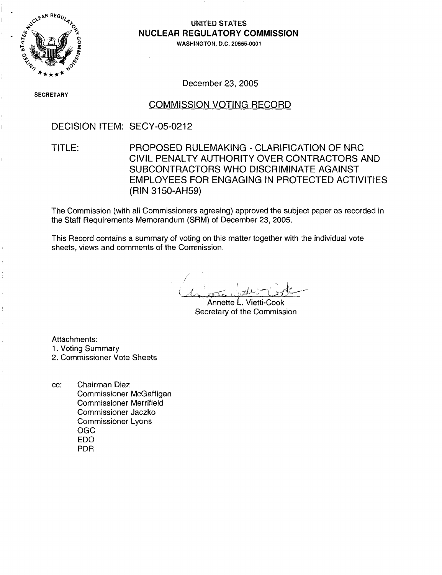

### UNITED STATES NUCLEAR REGULATORY COMMISSION

WASHINGTON, D.C. 20555-0001

December 23, 2005

SECRETAR\

### COMMISSION VOTING RECORD

DECISION ITEM: SECY-05-0212

TITLE: PROPOSED RULEMAKING - CLARIFICATION OF NRC CIVIL PENALTY AUTHORITY OVER CONTRACTORS AND SUBCONTRACTORS WHO DISCRIMINATE AGAINST EMPLOYEES FOR ENGAGING IN PROTECTED ACTIVITIES (RIN 3150-AH59)

The Commission (with all Commissioners agreeing) approved the subject paper as recorded in the Staff Requirements Memorandum (SRM) of December 23, 2005.

This Record contains a summary of voting on this matter together with the individual vote sheets, views and comments of the Commission.

 $\sim$   $\sim$ 

Annette L. Vietti-Cook Secretary of the Commission

Attachments:

- 1. Voting Summary
- 2. Commissioner Vote Sheets
- cc: Chairman Diaz Commissioner McGaffigan Commissioner Merrifield Commissioner Jaczko Commissioner Lyons OGC EDO PDR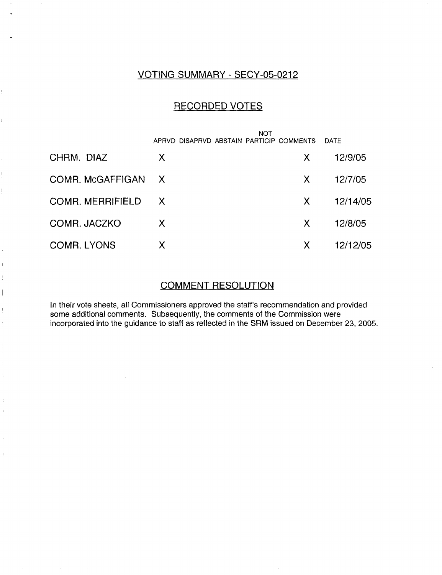# VOTING SUMMARY - SECY-05-0212

## RECORDED VOTES

|                         | <b>NOT</b>                               |    |          |
|-------------------------|------------------------------------------|----|----------|
|                         | APRVD DISAPRVD ABSTAIN PARTICIP COMMENTS |    | DATE     |
| CHRM. DIAZ              | X                                        | X. | 12/9/05  |
| COMR. McGAFFIGAN X      |                                          | X. | 12/7/05  |
| <b>COMR. MERRIFIELD</b> | X                                        | X. | 12/14/05 |
| COMR. JACZKO            | X.                                       | X. | 12/8/05  |
| <b>COMR. LYONS</b>      | X                                        | X. | 12/12/05 |

### COMMENT RESOLUTION

In their vote sheets, all Commissioners approved the staff's recommendation and provided some additional comments. Subsequently, the comments of the Commission were incorporated into the guidance to staff as reflected in the SRM issued on December 23, 2005.

 $\Big\}$ 

J  $\bar{1}$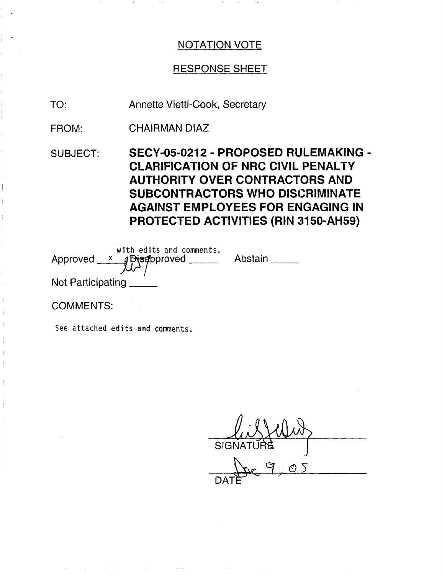## RESPONSE SHEET

Annette Vietti-Cook, Secretary TO:

CHAIRMAN DIAZ FROM:

SUBJECT: SECY-05-0212 - PROPOSED RULEMAKING - CLARIFICATION OF NRC CIVIL PENALTY AUTHORITY OVER CONTRACTORS AND SUBCONTRACTORS WHO DISCRIMINATE AGAINST EMPLOYEES FOR ENGAGING IN PROTECTED ACTIVITIES (RIN 3150-AH59)

|                       | with edits and comments.<br>Approved $x$ Disapproved ____ | Abstain |
|-----------------------|-----------------------------------------------------------|---------|
| Not Participating ___ |                                                           |         |

COMMENTS:

See attached edits and comments.

<u>ly</u> SIGNATÜ<del>R</del>B DAT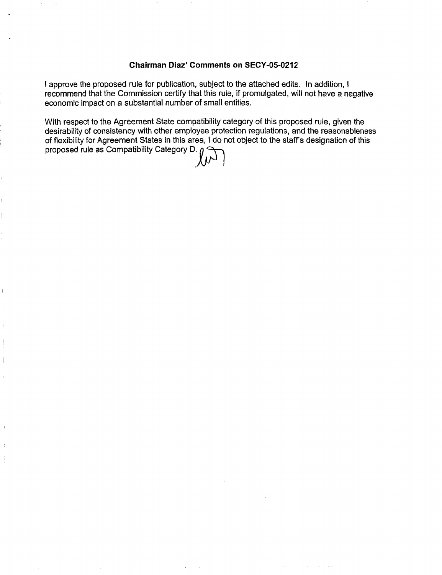### **Chairman Diaz' Comments on SECY-05-0212**

I approve the proposed rule for publication, subject to the attached edits. In addition, I recommend that the Commission certify that this rule, if promulgated, will not have a negative economic impact on a substantial number of small entities.

With respect to the Agreement State compatibility category of this proposed rule, given the desirability of consistency with other employee protection regulations, and the reasonableness of flexibility for Agreement States in this area, I do not object to the staff's designation of this proposed rule as Compatibility Category D.  $\eta$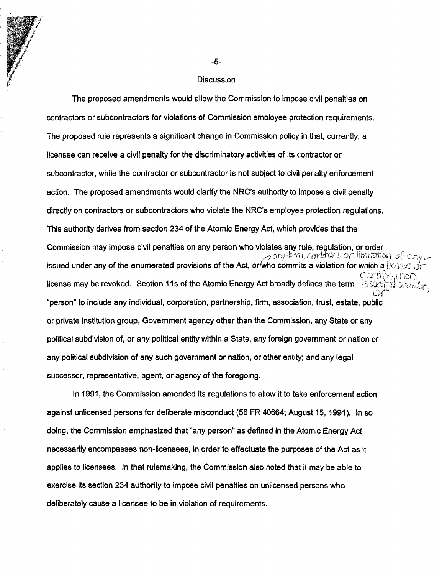#### **Discussion**

The proposed amendments would allow the Commission to impose civil penalties on contractors or subcontractors for violations of Commission employee protection requirements. The proposed rule represents a significant change in Commission policy in that, currently, a licensee can receive a civil penalty for the discriminatory activities of its contractor or subcontractor, while the contractor or subcontractor is not subject to civil penalty enforcement action. The proposed amendments would clarify the NRC's authority to impose a civil penalty directly on contractors or subcontractors who violate the NRC's employee protection regulations. This authority derives from section 234 of the Atomic Energy Act, which provides that the Commission may impose civil penalties on any person who violates any rule, regulation, or order *a* any trm, condition, or limitation of our issued under any of the enumerated provisions of the Act, or who commits a violation for which a  $||G||$  $c$  antic license may be revoked. Section 1Is of the Atomic Energy Act broadly defines the term "person' to include any individual, corporation, partnership, firm, association, trust, estate, public or private institution group, Government agency other than the Commission, any State or any political subdivision of, or any political entity within a State, any foreign government or nation or any political subdivision of any such government or nation, or other entity; and any legal successor, representative, agent, or agency of the foregoing.

In 1991, the Commission amended its regulations to allow it to take enforcement action against unlicensed persons for deliberate misconduct (56 FR 40664; August 15, 1991). In so doing, the Commission emphasized that "any person" as defined in the Atomic Energy Act necessarily encompasses non-licensees, in order to effectuate the purposes of the Act as it applies to licensees. In that rulemaking, the Commission also noted that il may be able to exercise its section 234 authority to impose civil penalties on unlicensed persons who deliberately cause a licensee to be in violation of requirements.

-5-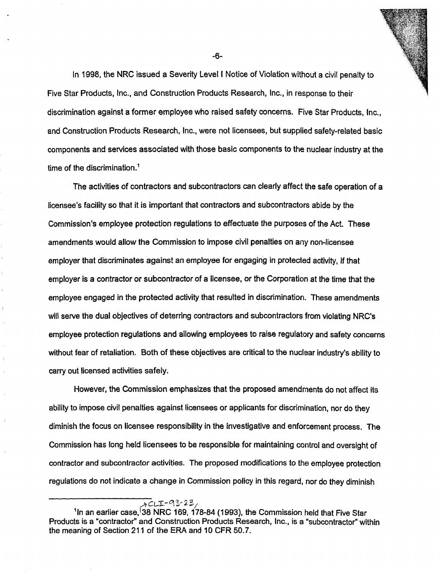In 1998, the NRC issued a Severity Level I Notice of Violation without a civil penalty to Five Star Products, Inc., and Construction Products Research, Inc., in response to their discrimination against a former employee who raised safety concerns. Five Star Products, Inc., and Construction Products Research, Inc., were not licensees, but supplied safety-related basic components and services associated with those basic components to the nuclear industry at the time of the discrimination.'

I1

The activities of contractors and subcontractors can clearly affect the safe operation of a licensee's facility so that it is important that contractors and subcontractors abide by the Commission's employee protection regulations to effectuate the purposes of the Act. These amendments would allow the Commission to impose civil penalties on any non-licensee employer that discriminates against an employee for engaging in protected activity, if that employer is a contractor or subcontractor of a licensee, or the Corporation at the time that the employee engaged in the protected activity that resulted in discrimination. These amendments will serve the dual objectives of deterring contractors and subcontractors from violating NRC's employee protection regulations and allowing employees to raise regulatory and safety concerns without fear of retaliation. Both of these objectives are critical to the nuclear industry's ability to carry out licensed activities safely.

 $\mathbf{r}$ 

However, the Commission emphasizes that the proposed amendments do not affect its ability to impose civil penalties against licensees or applicants for discrimination, nor do they diminish the focus on licensee responsibility in the investigative and enforcement process. The Commission has long held licensees to be responsible for maintaining control and oversight of contractor and subcontractor activities. The proposed modifications to the employee protection regulations do not indicate a change in Commission policy in this regard, nor do they diminish

-6-

 $\overline{\lambda}$ CLI-93-23, <sup>1</sup>In an earlier case. 38 NRC 169, 178-84 (1993), the Commission held that Five Star Products is a "contractor" and Construction Products Research, Inc., is a "subcontractor" within the meaning of Section 211 of the ERA and 10 CFR 50.7.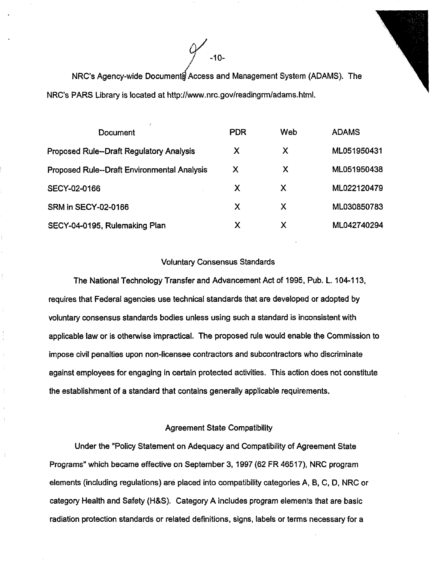

NRC's Agency-wide Document Access and Management System (ADAMS). The NRC's PARS Library is located at http://www.nrc.gov/readingrm/adams.html.

| Document                                        | <b>PDR</b> | Web | <b>ADAMS</b> |
|-------------------------------------------------|------------|-----|--------------|
| <b>Proposed Rule--Draft Regulatory Analysis</b> | X          | X   | ML051950431  |
| Proposed Rule--Draft Environmental Analysis     | Х          | X   | ML051950438  |
| SECY-02-0166                                    | X          | X   | ML022120479  |
| SRM in SECY-02-0166                             | X          | Х   | ML030850783  |
| SECY-04-0195, Rulemaking Plan                   | X          | Х   | ML042740294  |

#### Voluntary Consensus Standards

The National Technology Transfer and Advancement Act of 1995, Pub. L. 104-113, requires that Federal agencies use technical standards that are developed or adopted by voluntary consensus standards bodies unless using such a standard is inconsistent with applicable law or is otherwise impractical. The proposed rule would enable the Commission to impose civil penalties upon non-licensee contractors and subcontractors who discriminate against employees for engaging in certain protected activities. This action does not constitute the establishment of a standard that contains generally applicable requirements.

### Agreement State Compatibility

Under the "Policy Statement on Adequacy and Compatibility of Agreement State Programs" which became effective on September 3, 1997 (62 FR 46517), NRC program elements (including regulations) are placed into compatibility categories A, B, C, D, NRC or category Health and Safety (H&S). Category A includes program elements that are basic radiation protection standards or related definitions, signs, labels or terms necessary for a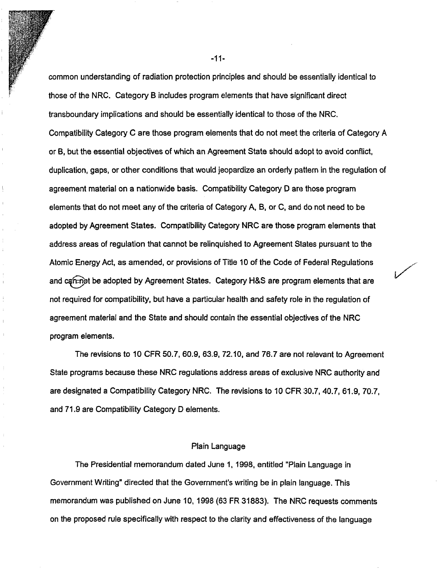common understanding of radiation protection principles and should be essentially identical to those of the NRC. Category B includes program elements that have significant direct transboundary implications and should be essentially identical to those of the NRC. Compatibility Category C are those program elements that do not meet the criteria of Category A or B, but the essential objectives of which an Agreement State should adopt to avoid conflict, duplication, gaps, or other conditions that would jeopardize an orderly pattern in the regulation of agreement material on a nationwide basis. Compatibility Category D are those program elements that do not meet any of the criteria of Category A, B, or C, and do not need to be adopted by Agreement States. Compatibility Category NRC are those program elements that address areas of regulation that cannot be relinquished to Agreement Slates pursuant to the Atomic Energy Act, as amended, or provisions of Title 10 of the Code of Federal Regulations and can right be adopted by Agreement States. Category H&S are program elements that are not required for compatibility, but have a particular health and safety role in the regulation of agreement material and the State and should contain the essential objectives of the NRC program elements.

The revisions to 10 CFR 50.7, 60.9, 63.9, 72.10, and 76.7 are not relevant to Agreement State programs because these NRC regulations address areas of exclusive NRC authority and are designated a Compatibility Category NRC. The revisions to 10 CFR 30.7, 40.7, 61.9, 70.7, and 71.9 are Compatibility Category D elements.

 $\overline{1}$ 

#### Plain Language

The Presidential memorandum dated June 1, 1998, entitled "Plain Language in Government Writing" directed that the Government's writing be in plain language. This memorandum was published on June 10, 1998 (63 FR 31883). The NRC requests comments on the proposed rule specifically with respect to the clarity and effectiveness of the language

-11-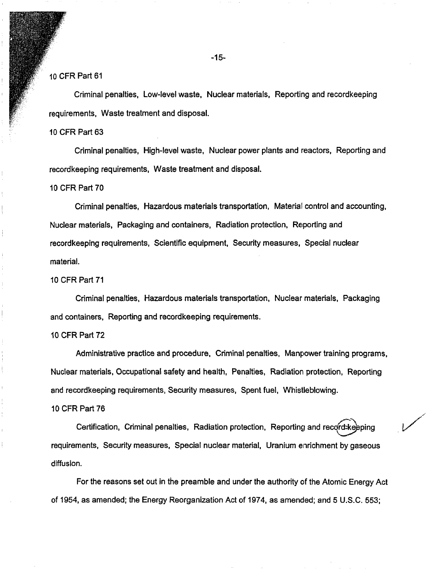### 10 CFR Part 61

Criminal penalties, Low-level waste, Nuclear materials, Reporting and recordkeeping requirements, Waste treatment and disposal.

#### 10 CFR Part 63

Criminal penalties, High-level waste, Nuclear power plants and reactors, Reporting and recordkeeping requirements, Waste treatment and disposal.

10 CFR Part 70

Criminal penalties, Hazardous materials transportation, Material control and accounting, Nuclear materials, Packaging and containers, Radiation protection, Reporting and recordkeeping requirements, Scientific equipment, Security measures, Special nuclear material.

10 CFR Part 71

Criminal penalties, Hazardous materials transportation, Nuclear materials, Packaging and containers, Reporting and recordkeeping requirements.

#### 10 CFR Part 72

Administrative practice and procedure, Criminal penalties, Manpower training programs, Nuclear materials, Occupational safety and health, Penalties, Radiation protection, Reporting and recordkeeping requirements, Security measures, Spent fuel, Whistleblowing.

#### 10 CFR Part 76

Certification, Criminal penalties, Radiation protection, Reporting and record-keeping requirements, Security measures, Special nuclear material, Uranium enrichment by gaseous diffusion.

For the reasons set out in the preamble and under the authority of the Atomic Energy Act of 1954, as amended; the Energy Reorganization Act of 1974, as amended; and 5 U.S.C. 553;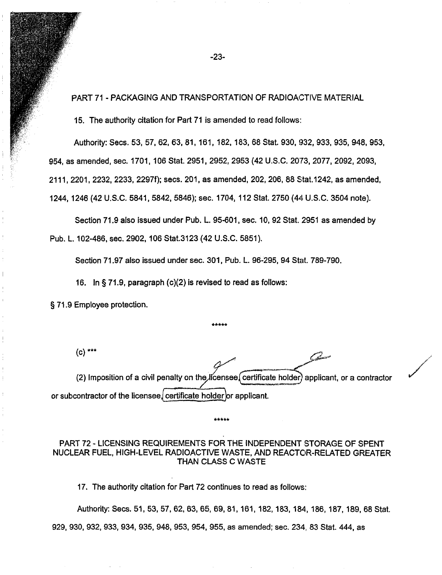PART 71 - PACKAGING AND TRANSPORTATION OF RADIOACTIVE MATERIAL

15. The authority citation for Part 71 is amended to read follows:

Authority: Secs. 53, 57, 62, 63, 81, 161, 182, 183, 68 Stat. 930, 332, 933, 935, 948, 953, 954, as amended, sec. 1701, 106 Stat. 2951, 2952, 2953 (42 U.S.C. 2073, 2077, 2092, 2093, 2111, 2201, 2232, 2233, 2297f); secs. 201, as amended, 202, 206, 88 Stat.1242, as amended, 1244, 1246 (42 U.S.C. 5841, 5842, 5846); sec. 1704, 112 Stat. 2750 (44 U.S.C. 3504 note).

Section 71.9 also issued under Pub. L. 95-601, sec. 10, 92 Stat. 2951 as amended by Pub. L. 102-486, sec. 2902, 106 Stat.3123 (42 U.S.C. 5851).

Section 71.97 also issued under sec. 301, Pub. L. 96-295, 94 Stat. 789-790.

16. In § 71.9, paragraph (c)(2) is revised to read as follows:

§ 71.9 Employee protection.

 $(c)$  \*\*\*

(2) Imposition of a civil penalty on the licensee certificate holder) applicant, or a contractor or subcontractor of the licensee, certificate holder or applicant.

يستعم

### PART 72 - LICENSING REQUIREMENTS FOR THE INDEPENDENT STORAGE OF SPENT NUCLEAR FUEL, HIGH-LEVEL RADIOACTIVE WASTE, AND REACTOR-RELATED GREATER THAN CLASS C WASTE

17. The authority citation for Part 72 continues to read as follows:

Authority: Secs. 51, 53, 57, 62, 63, 65, 69, 81, 161, 182,183, 184, 186, 187,189, 68 Stat. 929, 930, 932, 933, 934, 935, 948, 953, 954, 955, as amended; sec. 234, 83 Stat. 444, as

-23-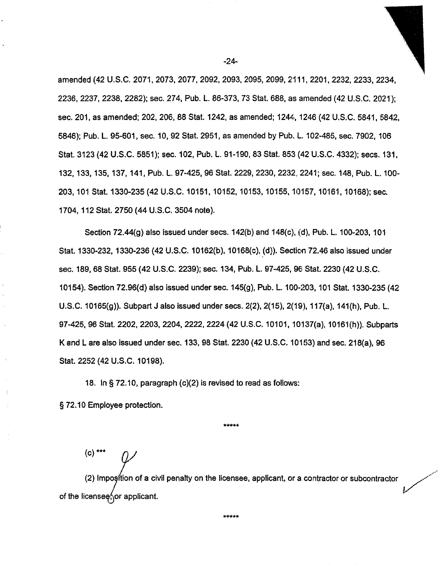amended (42 U.S.C. 2071, 2073, 2077, 2092, 2093, 2095, 2099, 21 11, 2201, 2232, 2233, 2234, 2236, 2237, 2238, 2282); sec. 274, Pub. L. 86-373, 73 Stat. 688, as amended (42 U.S.C. 2021); sec. 201, as amended; 202, 206, 88 Stat. 1242, as amended; 1244, 1246 (42 U.S.C. 5841, 5842, 5846); Pub. L. 95-601, sec. 10, 92 Stat. 2951, as amended by Pub. L. 102-485, sec. 7902, 106 Stat. 3123 (42 U.S.C. 5851); sec. 102, Pub. L. 91-190, 83 Stat. 853 (42 U.S.C. 4332); secs. 131, 132, 133, 135, 137, 141, Pub. L. 97-425, 96 Stat. 2229, 2230, 2232, 2241; sec. 148, Pub. L. 100-203, 101 Stat. 1330-235 (42 U.S.C. 10151, 10152, 10153, 10155, 10157, 10161, 10168); sec. 1704, 112 Stat. 2750 (44 U.S.C. 3504 note).

Section  $72.44(q)$  also issued under secs.  $142(b)$  and  $148(c)$ ,  $(d)$ , Pub. L. 100-203, 101 Stat. 1330-232, 1330-236 (42 U.S.C. 10162(b), 10168(c), (d)). Section 72.46 also issued under sec. 189, 68 Stat. 955 (42 U.S.C. 2239); sec. 134, Pub. L. 97-425, 96 Stat. 2230 (42 U.S.C. 10154). Section 72.96(d) also issued under sec. 145(g), Pub. L. 100-203, 101 Stat. 1330-235 (42 U.S.C. 10165(g)). Subpart J also issued under secs. 2(2), 2(15), 2(19), 117(a), 141(h), Pub. L. 97-425, 96 Stat. 2202, 2203, 2204, 2222, 2224 (42 U.S.C. 10101, 10137(a), 10161(h)). Subparts K and L are also issued under sec. 133, 98 Stat. 2230 (42 U.S.C. 10153) and sec. 218(a), 96 Stat. 2252 (42 U.S.C. 10198).

18. In § 72.10, paragraph (c)(2) is revised to read as follows: § 72.10 Employee protection.

\* \*\*\* \*

 $(c)$   $*$ 

(2) Imposition of a civil penalty on the licensee, applicant, or a contractor or subcontractor of the license  $\frac{2}{3}$  or applicant.

-24-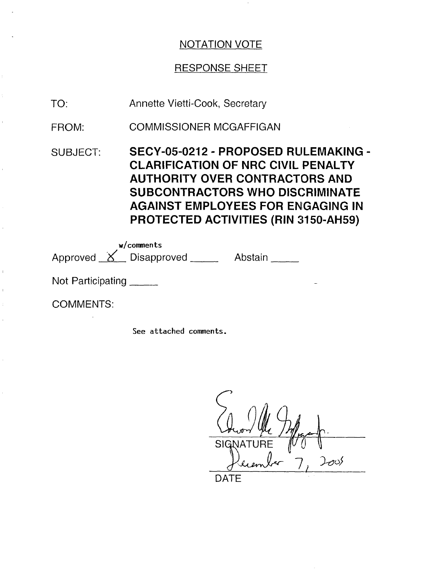## RESPONSE SHEET

- Annette Vietti-Cook, Secretary TO:
- COMMISSIONER MCGAFFIGAN FROM:
- SUBJECT: SECY-05-0212 - PROPOSED RULEMAKING - CLARIFICATION OF NRC CIVIL PENALTY AUTHORITY OVER CONTRACTORS AND SUBCONTRACTORS WHO DISCRIMINATE AGAINST EMPLOYEES FOR ENGAGING IN PROTECTED ACTIVITIES (RIN 3150-AH59)

Approved <u>X</u> Disapproved Abstain w/comments

Not Participating \_\_\_\_\_

COMMENTS:

See attached comments.

**SIGNATURE**  $\infty$ 

DATE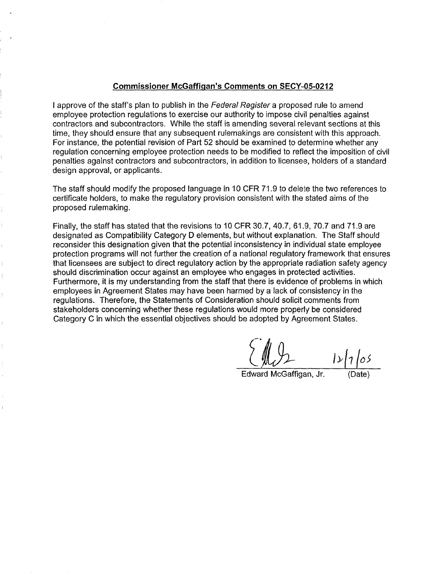### **Commissioner McGaffigan's Comments on SECY-05-0212**

I approve of the staff's plan to publish in the Federal Register a proposed rule to amend employee protection regulations to exercise our authority to impose civil penalties against contractors and subcontractors. While the staff is amending several relevant sections at this time, they should ensure that any subsequent rulemakings are consistent with this approach. For instance, the potential revision of Part 52 should be examined to determine whether any regulation concerning employee protection needs to be modified to reflect the imposition of civil penalties against contractors and subcontractors, in addition to licensee, holders of a standard design approval, or applicants.

The staff should modify the proposed language in 10 CFR 71.9 to delete the two references to certificate holders, to make the regulatory provision consistent with the stated aims of the proposed rulemaking.

Finally, the staff has stated that the revisions to 10 CFR 30.7, 40.7, 61.9, 70.7 and 71.9 are designated as Compatibility Category D elements, but without explanation. The Staff should reconsider this designation given that the potential inconsistency in individual state employee protection programs will not further the creation of a national regulatory framework that ensures that licensees are subject to direct regulatory action by the appropriate radiation safety agency should discrimination occur against an employee who engages in protected activities. Furthermore, it is my understanding from the staff that there is evidence of problems in which employees in Agreement States may have been harmed by a lack of consistency in the regulations. Therefore, the Statements of Consideration should solicit comments from stakeholders concerning whether these regulations would more properly be considered Category C in which the essential objectives should be adopted by Agreement States.

 $1 \times 105$ 

Edward McGaffigan, Jr.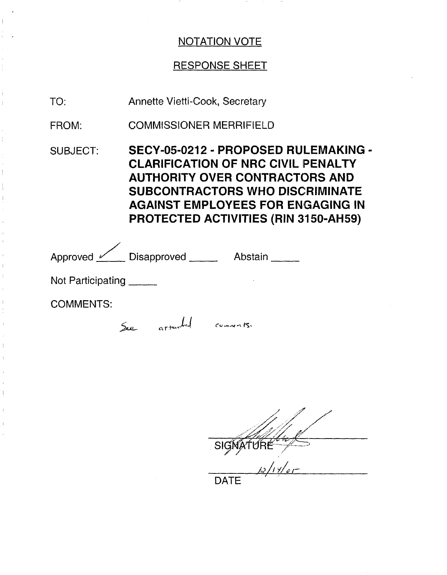# RESPONSE SHEET

Annette Vietti-Cook, Secretary TO:

COMMISSIONER MERRIFIELD FROM:

SUBJECT: SECY-05-0212 - PROPOSED RULEMAKING - CLARIFICATION OF NRC CIVIL PENALTY AUTHORITY OVER CONTRACTORS AND SUBCONTRACTORS WHO DISCRIMINATE AGAINST EMPLOYEES FOR ENGAGING IN PROTECTED ACTIVITIES (RIN 3150-AH59)

| Approved <u>V</u> Disapproved   |     | Abstain            |
|---------------------------------|-----|--------------------|
| Not Participating $\frac{1}{2}$ |     |                    |
| <b>COMMENTS:</b>                |     |                    |
|                                 | See | attached comments. |

S <u> 12/14/05</u> **DATE**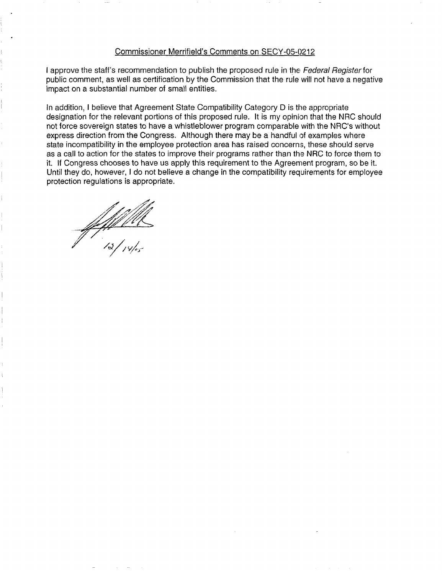### Commissioner Merrifield's Comments on SECY-05-0212

I approve the staff's recommendation to publish the proposed rule in the Federal Register for public comment, as well as certification by the Commission that the rule will not have a negative impact on a substantial number of small entities.

In addition, I believe that Agreement State Compatibility Category D is the appropriate designation for the relevant portions of this proposed rule. It is my opinion that the NRC should not force sovereign states to have a whistleblower program comparable with the NRC's without express direction from the Congress. Although there may be a handful of examples where state incompatibility in the employee protection area has raised concerns, these should serve as a call to action for the states to improve their programs rather than the NRC to force them to it. If Congress chooses to have us apply this requirement to the Agreement program, so be it. Until they do, however, I do not believe a change in the compatibility requirements for employee protection regulations is appropriate.

/////////<br>|a|<sub>14|es</sub>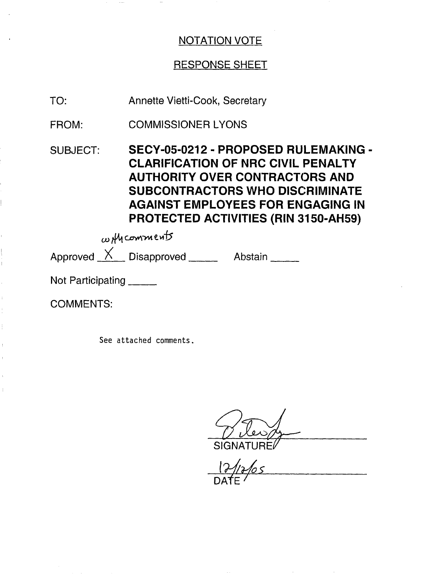# RESPONSE SHEET

Annette Vietti-Cook, Secretary TO:

COMMISSIONER LYONS FROM:

SUBJECT: SECY-05-0212 - PROPOSED RULEMAKING - CLARIFICATION OF NRC CIVIL PENALTY AUTHORITY OVER CONTRACTORS AND SUBCONTRACTORS WHO DISCRIMINATE AGAINST EMPLOYEES FOR ENGAGING IN PROTECTED ACTIVITIES (RIN 3150-AH59)

 $\omega$  *H*y comments

Approved  $X$  Disapproved  $X$  Abstain

Not Participating \_\_\_\_\_

COMMENTS:

See attached comments.

**SIGNATU** 

DAfE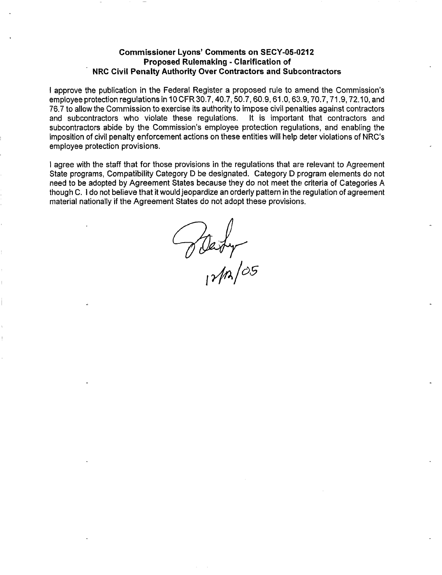### **Commissioner Lyons' Comments on SECY-05-0212 Proposed Rulemaking - Clarification of NRC Civil Penalty Authority Over Contractors and Subcontractors**

I approve the publication in the Federal Register a proposed rule to amend the Commission's employee protection regulations in 10 CFR 30.7,40.7, 50.7,60.9,61.0, 63.9, 70.7,71.9,72.10, and 76.7 to allow the Commission to exercise its authority to impose civil penalties against contractors and subcontractors who violate these regulations. It is important that contractors and subcontractors abide by the Commission's employee protection regulations, and enabling the imposition of civil penalty enforcement actions on these entities will help deter violations of NRC's employee protection provisions.

I agree with the staff that for those provisions in the regulations that are relevant to Agreement State programs, Compatibility Category D be designated. Category D program elements do not need to be adopted by Agreement States because they do not meet the criteria of Categories A though C. I do not believe that it would jeopardize an orderly pattern in the regulation of agreement material nationally if the Agreement States do not adopt these provisions.

Blaty<br>12/12/05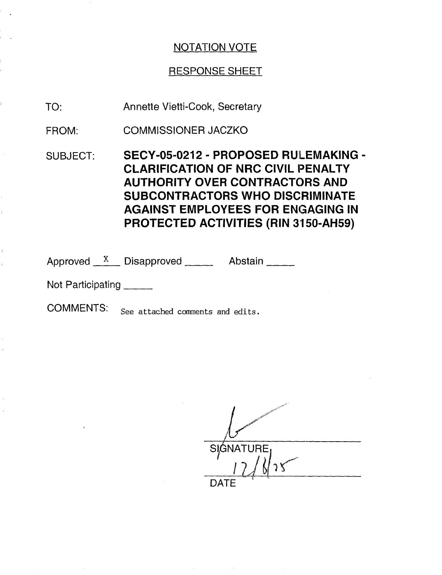## RESPONSE SHEET

- Annette Vietti-Cook, Secretary TO:
- COMMISSIONER JACZKO FROM:
- SUBJECT: SECY-05-0212 PROPOSED RULEMAKING -CLARIFICATION OF NRC CIVIL PENALTY AUTHORITY OVER CONTRACTORS AND SUBCONTRACTORS WHO DISCRIMINATE AGAINST EMPLOYEES FOR ENGAGING IN PROTECTED ACTIVITIES (RIN 3150-AH59)

Approved  $X$  Disapproved Abstain

Not Participating \_\_\_\_\_

COMMENTS: See attached comments and edits.

SIGNATURE DATE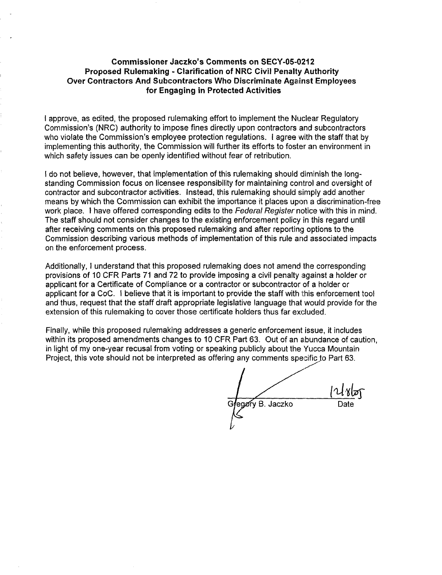### **Commissioner Jaczko's Comments on SECY-05-0212 Proposed Rulemaking - Clarification of NRC Civil Penalty Authority Over Contractors And Subcontractors Who Discriminate Against Employees for Engaging in Protected Activities**

I approve, as edited, the proposed rulemaking effort to implement the Nuclear Regulatory Commission's (NRC) authority to impose fines directly upon contractors and subcontractors who violate the Commission's employee protection regulations. I agree with the staff that by implementing this authority, the Commission will further its efforts to foster an environment in which safety issues can be openly identified without fear of retribution.

I do not believe, however, that implementation of this rulemaking should diminish the longstanding Commission focus on licensee responsibility for maintaining control and oversight of contractor and subcontractor activities. Instead, this rulemaking should simply add another means by which the Commission can exhibit the importance it places upon a discrimination-free work place. I have offered corresponding edits to the Federal Register notice with this in mind. The staff should not consider changes to the existing enforcement policy in this regard until after receiving comments on this proposed rulemaking and after reporting options to the Commission describing various methods of implementation of this rule arid associated impacts on the enforcement process.

Additionally, I understand that this proposed rulemaking does not amend the corresponding provisions of 10 CFR Parts 71 and 72 to provide imposing a civil penalty against a holder or applicant for a Certificate of Compliance or a contractor or subcontractor of a holder or applicant for a CoC. I believe that it is important to provide the staff with this enforcement tool and thus, request that the staff draft appropriate legislative language that would provide for the extension of this rulemaking to cover those certificate holders thus far excluded.

Finally, while this proposed rulemaking addresses a generic enforcement issue, it includes within its proposed amendments changes to 10 CFR Part 63. Out of an abundance of caution, in light of my one-year recusal from voting or speaking publicly about the Yucca Mountain Project, this vote should not be interpreted as offering any comments specific to Part 63.

G egory B. Jaczko